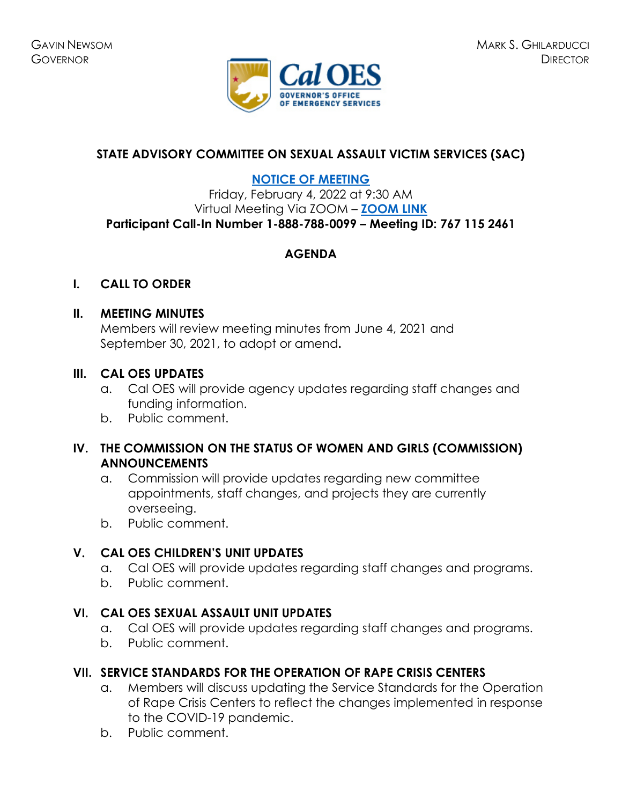



# **STATE ADVISORY COMMITTEE ON SEXUAL ASSAULT VICTIM SERVICES (SAC)**

# **[NOTICE OF MEETING](https://www.caloes.ca.gov/cal-oes-divisions/grants-management/victim-services/meeting-public-notices)**

Friday, February 4, 2022 at 9:30 AM Virtual Meeting Via ZOOM – **[ZOOM LINK](https://us02web.zoom.us/j/7671152461) Participant Call-In Number 1-888-788-0099 – Meeting ID: 767 115 2461** 

# **AGENDA**

#### **I. CALL TO ORDER**

#### **II. MEETING MINUTES**

Members will review meeting minutes from June 4, 2021 and September 30, 2021, to adopt or amend**.** 

#### **III. CAL OES UPDATES**

- a. Cal OES will provide agency updates regarding staff changes and funding information.
- b. Public comment.

## **IV. THE COMMISSION ON THE STATUS OF WOMEN AND GIRLS (COMMISSION) ANNOUNCEMENTS**

- a. Commission will provide updates regarding new committee appointments, staff changes, and projects they are currently overseeing.
- b. Public comment.

## **V. CAL OES CHILDREN'S UNIT UPDATES**

- a. Cal OES will provide updates regarding staff changes and programs.
- b. Public comment.

## **VI. CAL OES SEXUAL ASSAULT UNIT UPDATES**

- a. Cal OES will provide updates regarding staff changes and programs.
- b. Public comment.

## **VII. SERVICE STANDARDS FOR THE OPERATION OF RAPE CRISIS CENTERS**

- a. Members will discuss updating the Service Standards for the Operation of Rape Crisis Centers to reflect the changes implemented in response to the COVID-19 pandemic.
- b. Public comment.